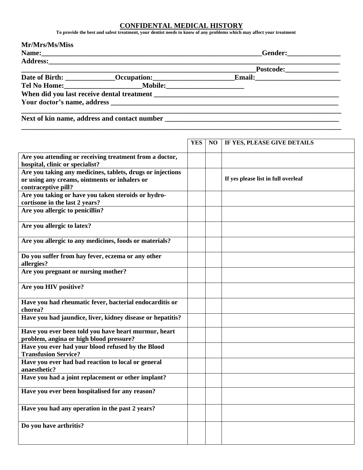## **CONFIDENTAL MEDICAL HISTORY**

**To provide the best and safest treatment, your dentist needs to know of any problems which may affect your treatment** 

| Mr/Mrs/Ms/Miss |                              |                |
|----------------|------------------------------|----------------|
|                |                              |                |
|                |                              |                |
|                |                              | Postcode: 2008 |
|                |                              |                |
|                | Tel No Home: Mobile: Mobile: |                |
|                |                              |                |
|                |                              |                |
|                |                              |                |
|                |                              |                |
|                |                              |                |

|                                                                                                 | <b>YES</b> | NO. | IF YES, PLEASE GIVE DETAILS         |
|-------------------------------------------------------------------------------------------------|------------|-----|-------------------------------------|
| Are you attending or receiving treatment from a doctor,                                         |            |     |                                     |
| hospital, clinic or specialist?                                                                 |            |     |                                     |
| Are you taking any medicines, tablets, drugs or injections                                      |            |     |                                     |
| or using any creams, ointments or inhalers or                                                   |            |     | If yes please list in full overleaf |
| contraceptive pill?                                                                             |            |     |                                     |
| Are you taking or have you taken steroids or hydro-                                             |            |     |                                     |
| cortisone in the last 2 years?                                                                  |            |     |                                     |
| Are you allergic to penicillin?                                                                 |            |     |                                     |
| Are you allergic to latex?                                                                      |            |     |                                     |
| Are you allergic to any medicines, foods or materials?                                          |            |     |                                     |
| Do you suffer from hay fever, eczema or any other<br>allergies?                                 |            |     |                                     |
| Are you pregnant or nursing mother?                                                             |            |     |                                     |
| Are you HIV positive?                                                                           |            |     |                                     |
| Have you had rheumatic fever, bacterial endocarditis or<br>chorea?                              |            |     |                                     |
| Have you had jaundice, liver, kidney disease or hepatitis?                                      |            |     |                                     |
| Have you ever been told you have heart murmur, heart<br>problem, angina or high blood pressure? |            |     |                                     |
| Have you ever had your blood refused by the Blood<br><b>Transfusion Service?</b>                |            |     |                                     |
| Have you ever had bad reaction to local or general<br>anaesthetic?                              |            |     |                                     |
| Have you had a joint replacement or other implant?                                              |            |     |                                     |
| Have you ever been hospitalised for any reason?                                                 |            |     |                                     |
| Have you had any operation in the past 2 years?                                                 |            |     |                                     |
| Do you have arthritis?                                                                          |            |     |                                     |
|                                                                                                 |            |     |                                     |